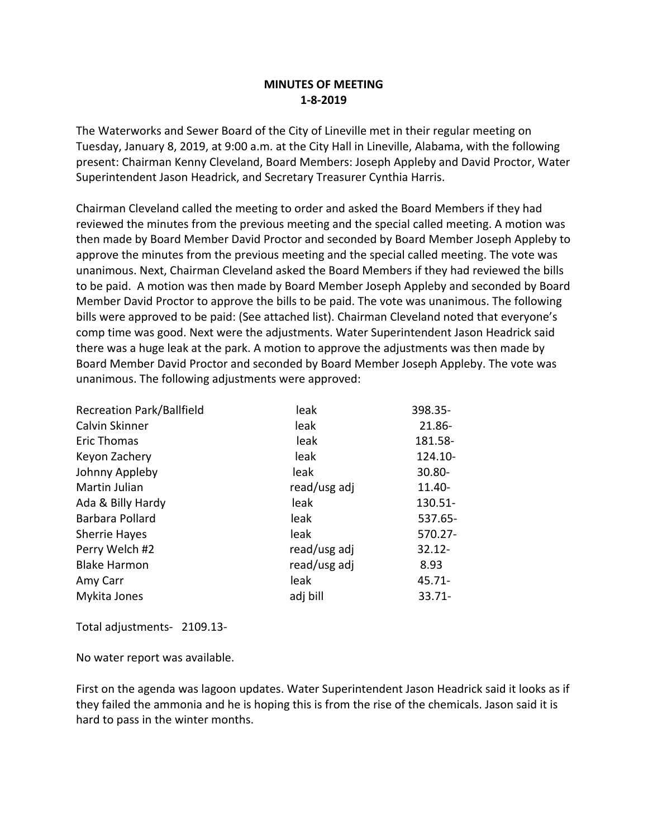## **MINUTES OF MEETING 1-8-2019**

The Waterworks and Sewer Board of the City of Lineville met in their regular meeting on Tuesday, January 8, 2019, at 9:00 a.m. at the City Hall in Lineville, Alabama, with the following present: Chairman Kenny Cleveland, Board Members: Joseph Appleby and David Proctor, Water Superintendent Jason Headrick, and Secretary Treasurer Cynthia Harris.

Chairman Cleveland called the meeting to order and asked the Board Members if they had reviewed the minutes from the previous meeting and the special called meeting. A motion was then made by Board Member David Proctor and seconded by Board Member Joseph Appleby to approve the minutes from the previous meeting and the special called meeting. The vote was unanimous. Next, Chairman Cleveland asked the Board Members if they had reviewed the bills to be paid. A motion was then made by Board Member Joseph Appleby and seconded by Board Member David Proctor to approve the bills to be paid. The vote was unanimous. The following bills were approved to be paid: (See attached list). Chairman Cleveland noted that everyone's comp time was good. Next were the adjustments. Water Superintendent Jason Headrick said there was a huge leak at the park. A motion to approve the adjustments was then made by Board Member David Proctor and seconded by Board Member Joseph Appleby. The vote was unanimous. The following adjustments were approved:

| <b>Recreation Park/Ballfield</b> | leak         | 398.35-   |
|----------------------------------|--------------|-----------|
| Calvin Skinner                   | leak         | 21.86-    |
| <b>Eric Thomas</b>               | leak         | 181.58-   |
| Keyon Zachery                    | leak         | 124.10-   |
| Johnny Appleby                   | leak         | 30.80-    |
| Martin Julian                    | read/usg adj | 11.40-    |
| Ada & Billy Hardy                | leak         | 130.51-   |
| Barbara Pollard                  | leak         | 537.65-   |
| <b>Sherrie Hayes</b>             | leak         | 570.27-   |
| Perry Welch #2                   | read/usg adj | $32.12 -$ |
| <b>Blake Harmon</b>              | read/usg adj | 8.93      |
| Amy Carr                         | leak         | $45.71 -$ |
| Mykita Jones                     | adj bill     | $33.71 -$ |

Total adjustments- 2109.13-

No water report was available.

First on the agenda was lagoon updates. Water Superintendent Jason Headrick said it looks as if they failed the ammonia and he is hoping this is from the rise of the chemicals. Jason said it is hard to pass in the winter months.